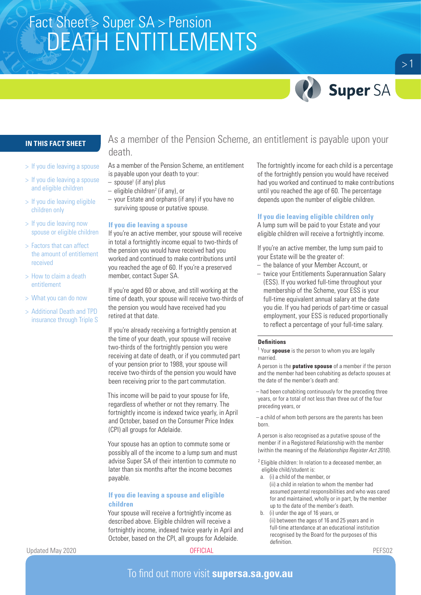# Fact Sheet > Super SA > Pension<br>STRICT LIT NUTUTI FA AFAITO DEATH ENTITLEMENTS



 $>1$ 

### **IN THIS FACT SHEET**

- > If you die leaving a spouse
- > If you die leaving a spouse and eligible children
- > If you die leaving eligible children only
- > If you die leaving now spouse or eligible children
- > Factors that can affect the amount of entitlement received
- > How to claim a death entitlement
- > What you can do now
- > Additional Death and TPD insurance through Triple S

As a member of the Pension Scheme, an entitlement is payable upon your death.

As a member of the Pension Scheme, an entitlement is payable upon your death to your:

- $-$  spouse<sup>1</sup> (if any) plus
- $-$  eligible children<sup>2</sup> (if any), or
- your Estate and orphans (if any) if you have no surviving spouse or putative spouse.

### **If you die leaving a spouse**

If you're an active member, your spouse will receive in total a fortnightly income equal to two-thirds of the pension you would have received had you worked and continued to make contributions until you reached the age of 60. If you're a preserved member, contact Super SA.

If you're aged 60 or above, and still working at the time of death, your spouse will receive two-thirds of the pension you would have received had you retired at that date.

If you're already receiving a fortnightly pension at the time of your death, your spouse will receive two-thirds of the fortnightly pension you were receiving at date of death, or if you commuted part of your pension prior to 1988, your spouse will receive two-thirds of the pension you would have been receiving prior to the part commutation.

This income will be paid to your spouse for life, regardless of whether or not they remarry. The fortnightly income is indexed twice yearly, in April and October, based on the Consumer Price Index (CPI) all groups for Adelaide.

Your spouse has an option to commute some or possibly all of the income to a lump sum and must advise Super SA of their intention to commute no later than six months after the income becomes payable.

### **If you die leaving a spouse and eligible children**

Your spouse will receive a fortnightly income as described above. Eligible children will receive a fortnightly income, indexed twice yearly in April and October, based on the CPI, all groups for Adelaide.

The fortnightly income for each child is a percentage of the fortnightly pension you would have received had you worked and continued to make contributions until you reached the age of 60. The percentage depends upon the number of eligible children.

### **If you die leaving eligible children only**

A lump sum will be paid to your Estate and your eligible children will receive a fortnightly income.

If you're an active member, the lump sum paid to your Estate will be the greater of:

- the balance of your Member Account, or
- twice your Entitlements Superannuation Salary (ESS). If you worked full-time throughout your membership of the Scheme, your ESS is your full-time equivalent annual salary at the date you die. If you had periods of part-time or casual employment, your ESS is reduced proportionally to reflect a percentage of your full-time salary.

### **Definitions**

<sup>1</sup> Your **spouse** is the person to whom you are legally married.

A person is the **putative spouse** of a member if the person and the member had been cohabiting as defacto spouses at the date of the member's death and:

– had been cohabiting continuously for the preceding three years, or for a total of not less than three out of the four preceding years, or

– a child of whom both persons are the parents has been born.

A person is also recognised as a putative spouse of the member if in a Registered Relationship with the member (within the meaning of the *Relationships Register Act 2016*).

- <sup>2</sup> Eligible children: In relation to a deceased member, an eligible child/student is:
- a. (i) a child of the member, or
- (ii) a child in relation to whom the member had assumed parental responsibilities and who was cared for and maintained, wholly or in part, by the member up to the date of the member's death.
- b. (i) under the age of 16 years, or (ii) between the ages of 16 and 25 years and in full-time attendance at an educational institution recognised by the Board for the purposes of this definition.

Updated May 2020 OFFICIAL PEFS02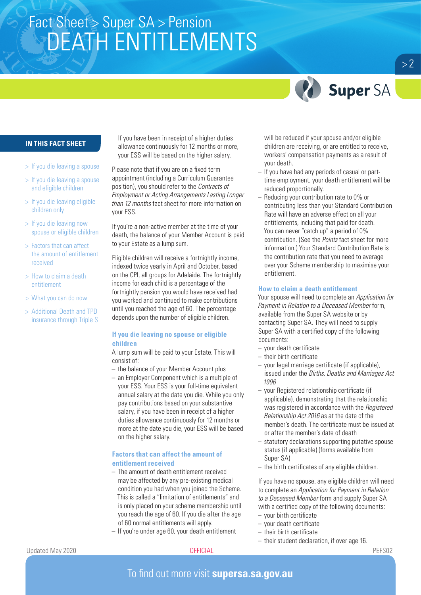# Fact Sheet > Super SA > Pension<br>STRICT LIT NUTUTI FA AFAITO DEATH ENTITLEMENTS



### **IN THIS FACT SHEET**

- > If you die leaving a spouse
- > If you die leaving a spouse and eligible children
- > If you die leaving eligible children only
- > If you die leaving now spouse or eligible children
- > Factors that can affect the amount of entitlement received
- > How to claim a death entitlement
- > What you can do now
- > Additional Death and TPD insurance through Triple S

If you have been in receipt of a higher duties allowance continuously for 12 months or more, your ESS will be based on the higher salary.

Please note that if you are on a fixed term appointment (including a Curriculum Guarantee position), you should refer to the *Contracts of Employment or Acting Arrangements Lasting Longer than 12 months* fact sheet for more information on your ESS.

If you're a non-active member at the time of your death, the balance of your Member Account is paid to your Estate as a lump sum.

Eligible children will receive a fortnightly income, indexed twice yearly in April and October, based on the CPI, all groups for Adelaide. The fortnightly income for each child is a percentage of the fortnightly pension you would have received had you worked and continued to make contributions until you reached the age of 60. The percentage depends upon the number of eligible children.

### **If you die leaving no spouse or eligible children**

A lump sum will be paid to your Estate. This will consist of:

- the balance of your Member Account plus
- an Employer Component which is a multiple of your ESS. Your ESS is your full-time equivalent annual salary at the date you die. While you only pay contributions based on your substantive salary, if you have been in receipt of a higher duties allowance continuously for 12 months or more at the date you die, your ESS will be based on the higher salary.

### **Factors that can affect the amount of entitlement received**

- The amount of death entitlement received may be affected by any pre-existing medical condition you had when you joined the Scheme. This is called a "limitation of entitlements" and is only placed on your scheme membership until you reach the age of 60. If you die after the age of 60 normal entitlements will apply.
- If you're under age 60, your death entitlement

will be reduced if your spouse and/or eligible children are receiving, or are entitled to receive, workers' compensation payments as a result of your death.

- If you have had any periods of casual or parttime employment, your death entitlement will be reduced proportionally.
- Reducing your contribution rate to 0% or contributing less than your Standard Contribution Rate will have an adverse effect on all your entitlements, including that paid for death. You can never "catch up" a period of 0% contribution. (See the *Points* fact sheet for more information.) Your Standard Contribution Rate is the contribution rate that you need to average over your Scheme membership to maximise your entitlement.

### **How to claim a death entitlement**

Your spouse will need to complete an *Application for Payment in Relation to a Deceased Member* form, available from the Super SA website or by contacting Super SA. They will need to supply Super SA with a certified copy of the following documents:

- your death certificate
- their birth certificate
- your legal marriage certificate (if applicable), issued under the *Births, Deaths and Marriages Act 1996*
- your Registered relationship certificate (if applicable), demonstrating that the relationship was registered in accordance with the *Registered Relationship Act 2016* as at the date of the member's death. The certificate must be issued at or after the member's date of death
- statutory declarations supporting putative spouse status (if applicable) (forms available from Super SA)
- the birth certificates of any eligible children.

If you have no spouse, any eligible children will need to complete an *Application for Payment in Relation to a Deceased Member* form and supply Super SA with a certified copy of the following documents:

- your birth certificate
- your death certificate
- their birth certificate
- their student declaration, if over age 16.